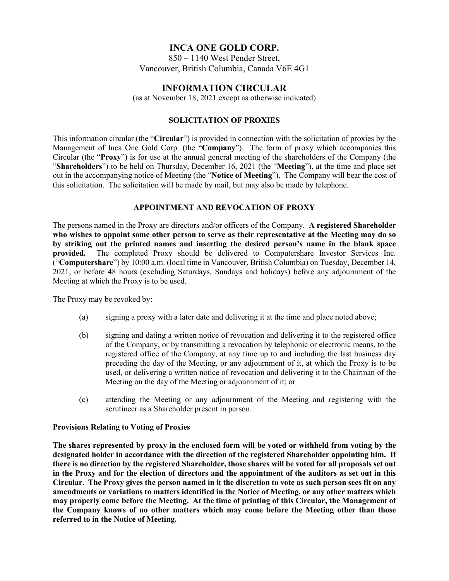# **INCA ONE GOLD CORP.**

850 – 1140 West Pender Street, Vancouver, British Columbia, Canada V6E 4G1

# **INFORMATION CIRCULAR**

(as at November 18, 2021 except as otherwise indicated)

# **SOLICITATION OF PROXIES**

This information circular (the "**Circular**") is provided in connection with the solicitation of proxies by the Management of Inca One Gold Corp. (the "**Company**"). The form of proxy which accompanies this Circular (the "**Proxy**") is for use at the annual general meeting of the shareholders of the Company (the "**Shareholders**") to be held on Thursday, December 16, 2021 (the "**Meeting**"), at the time and place set out in the accompanying notice of Meeting (the "**Notice of Meeting**"). The Company will bear the cost of this solicitation. The solicitation will be made by mail, but may also be made by telephone.

## **APPOINTMENT AND REVOCATION OF PROXY**

The persons named in the Proxy are directors and/or officers of the Company. **A registered Shareholder who wishes to appoint some other person to serve as their representative at the Meeting may do so by striking out the printed names and inserting the desired person's name in the blank space provided.** The completed Proxy should be delivered to Computershare Investor Services Inc. ("**Computershare**") by 10:00 a.m. (local time in Vancouver, British Columbia) on Tuesday, December 14, 2021, or before 48 hours (excluding Saturdays, Sundays and holidays) before any adjournment of the Meeting at which the Proxy is to be used.

The Proxy may be revoked by:

- (a) signing a proxy with a later date and delivering it at the time and place noted above;
- (b) signing and dating a written notice of revocation and delivering it to the registered office of the Company, or by transmitting a revocation by telephonic or electronic means, to the registered office of the Company, at any time up to and including the last business day preceding the day of the Meeting, or any adjournment of it, at which the Proxy is to be used, or delivering a written notice of revocation and delivering it to the Chairman of the Meeting on the day of the Meeting or adjournment of it; or
- (c) attending the Meeting or any adjournment of the Meeting and registering with the scrutineer as a Shareholder present in person.

## **Provisions Relating to Voting of Proxies**

**The shares represented by proxy in the enclosed form will be voted or withheld from voting by the designated holder in accordance with the direction of the registered Shareholder appointing him. If there is no direction by the registered Shareholder, those shares will be voted for all proposals set out in the Proxy and for the election of directors and the appointment of the auditors as set out in this Circular. The Proxy gives the person named in it the discretion to vote as such person sees fit on any amendments or variations to matters identified in the Notice of Meeting, or any other matters which may properly come before the Meeting. At the time of printing of this Circular, the Management of the Company knows of no other matters which may come before the Meeting other than those referred to in the Notice of Meeting.**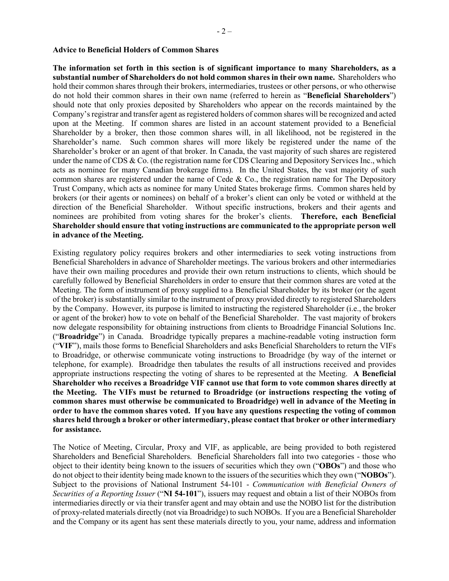#### **Advice to Beneficial Holders of Common Shares**

**The information set forth in this section is of significant importance to many Shareholders, as a substantial number of Shareholders do not hold common shares in their own name.** Shareholders who hold their common shares through their brokers, intermediaries, trustees or other persons, or who otherwise do not hold their common shares in their own name (referred to herein as "**Beneficial Shareholders**") should note that only proxies deposited by Shareholders who appear on the records maintained by the Company's registrar and transfer agent as registered holders of common shares will be recognized and acted upon at the Meeting. If common shares are listed in an account statement provided to a Beneficial Shareholder by a broker, then those common shares will, in all likelihood, not be registered in the Shareholder's name. Such common shares will more likely be registered under the name of the Shareholder's broker or an agent of that broker. In Canada, the vast majority of such shares are registered under the name of CDS & Co. (the registration name for CDS Clearing and Depository Services Inc., which acts as nominee for many Canadian brokerage firms). In the United States, the vast majority of such common shares are registered under the name of Cede & Co., the registration name for The Depository Trust Company, which acts as nominee for many United States brokerage firms. Common shares held by brokers (or their agents or nominees) on behalf of a broker's client can only be voted or withheld at the direction of the Beneficial Shareholder. Without specific instructions, brokers and their agents and nominees are prohibited from voting shares for the broker's clients. **Therefore, each Beneficial Shareholder should ensure that voting instructions are communicated to the appropriate person well in advance of the Meeting.**

Existing regulatory policy requires brokers and other intermediaries to seek voting instructions from Beneficial Shareholders in advance of Shareholder meetings. The various brokers and other intermediaries have their own mailing procedures and provide their own return instructions to clients, which should be carefully followed by Beneficial Shareholders in order to ensure that their common shares are voted at the Meeting. The form of instrument of proxy supplied to a Beneficial Shareholder by its broker (or the agent of the broker) is substantially similar to the instrument of proxy provided directly to registered Shareholders by the Company. However, its purpose is limited to instructing the registered Shareholder (i.e., the broker or agent of the broker) how to vote on behalf of the Beneficial Shareholder. The vast majority of brokers now delegate responsibility for obtaining instructions from clients to Broadridge Financial Solutions Inc. ("**Broadridge**") in Canada. Broadridge typically prepares a machine-readable voting instruction form ("**VIF**"), mails those forms to Beneficial Shareholders and asks Beneficial Shareholders to return the VIFs to Broadridge, or otherwise communicate voting instructions to Broadridge (by way of the internet or telephone, for example). Broadridge then tabulates the results of all instructions received and provides appropriate instructions respecting the voting of shares to be represented at the Meeting. **A Beneficial Shareholder who receives a Broadridge VIF cannot use that form to vote common shares directly at the Meeting. The VIFs must be returned to Broadridge (or instructions respecting the voting of common shares must otherwise be communicated to Broadridge) well in advance of the Meeting in order to have the common shares voted. If you have any questions respecting the voting of common shares held through a broker or other intermediary, please contact that broker or other intermediary for assistance.**

The Notice of Meeting, Circular, Proxy and VIF, as applicable, are being provided to both registered Shareholders and Beneficial Shareholders. Beneficial Shareholders fall into two categories - those who object to their identity being known to the issuers of securities which they own ("**OBOs**") and those who do not object to their identity being made known to the issuers of the securities which they own ("**NOBOs**"). Subject to the provisions of National Instrument 54-101 - *Communication with Beneficial Owners of Securities of a Reporting Issuer* ("**NI 54-101**"), issuers may request and obtain a list of their NOBOs from intermediaries directly or via their transfer agent and may obtain and use the NOBO list for the distribution of proxy-related materials directly (not via Broadridge) to such NOBOs. If you are a Beneficial Shareholder and the Company or its agent has sent these materials directly to you, your name, address and information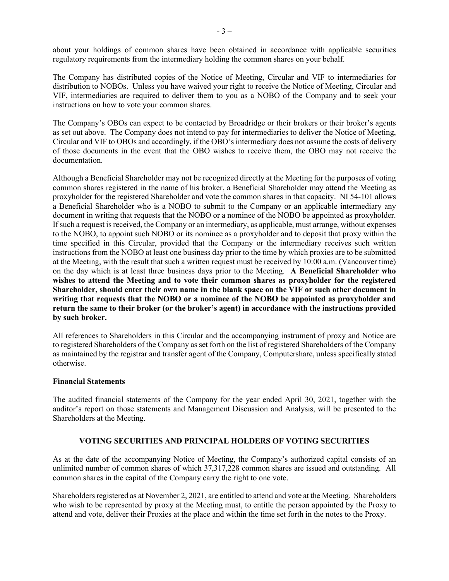about your holdings of common shares have been obtained in accordance with applicable securities regulatory requirements from the intermediary holding the common shares on your behalf.

The Company has distributed copies of the Notice of Meeting, Circular and VIF to intermediaries for distribution to NOBOs. Unless you have waived your right to receive the Notice of Meeting, Circular and VIF, intermediaries are required to deliver them to you as a NOBO of the Company and to seek your instructions on how to vote your common shares.

The Company's OBOs can expect to be contacted by Broadridge or their brokers or their broker's agents as set out above. The Company does not intend to pay for intermediaries to deliver the Notice of Meeting, Circular and VIF to OBOs and accordingly, if the OBO's intermediary does not assume the costs of delivery of those documents in the event that the OBO wishes to receive them, the OBO may not receive the documentation.

Although a Beneficial Shareholder may not be recognized directly at the Meeting for the purposes of voting common shares registered in the name of his broker, a Beneficial Shareholder may attend the Meeting as proxyholder for the registered Shareholder and vote the common shares in that capacity. NI 54-101 allows a Beneficial Shareholder who is a NOBO to submit to the Company or an applicable intermediary any document in writing that requests that the NOBO or a nominee of the NOBO be appointed as proxyholder. If such a request is received, the Company or an intermediary, as applicable, must arrange, without expenses to the NOBO, to appoint such NOBO or its nominee as a proxyholder and to deposit that proxy within the time specified in this Circular, provided that the Company or the intermediary receives such written instructions from the NOBO at least one business day prior to the time by which proxies are to be submitted at the Meeting, with the result that such a written request must be received by 10:00 a.m. (Vancouver time) on the day which is at least three business days prior to the Meeting. **A Beneficial Shareholder who wishes to attend the Meeting and to vote their common shares as proxyholder for the registered Shareholder, should enter their own name in the blank space on the VIF or such other document in writing that requests that the NOBO or a nominee of the NOBO be appointed as proxyholder and return the same to their broker (or the broker's agent) in accordance with the instructions provided by such broker.**

All references to Shareholders in this Circular and the accompanying instrument of proxy and Notice are to registered Shareholders of the Company as set forth on the list of registered Shareholders of the Company as maintained by the registrar and transfer agent of the Company, Computershare, unless specifically stated otherwise.

# **Financial Statements**

The audited financial statements of the Company for the year ended April 30, 2021, together with the auditor's report on those statements and Management Discussion and Analysis, will be presented to the Shareholders at the Meeting.

## **VOTING SECURITIES AND PRINCIPAL HOLDERS OF VOTING SECURITIES**

As at the date of the accompanying Notice of Meeting, the Company's authorized capital consists of an unlimited number of common shares of which 37,317,228 common shares are issued and outstanding. All common shares in the capital of the Company carry the right to one vote.

Shareholders registered as at November 2, 2021, are entitled to attend and vote at the Meeting. Shareholders who wish to be represented by proxy at the Meeting must, to entitle the person appointed by the Proxy to attend and vote, deliver their Proxies at the place and within the time set forth in the notes to the Proxy.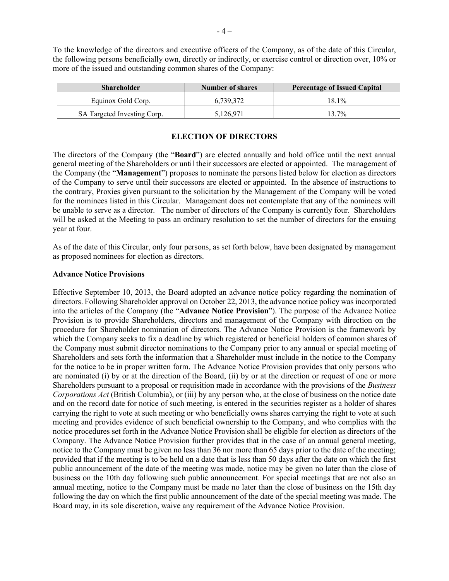To the knowledge of the directors and executive officers of the Company, as of the date of this Circular, the following persons beneficially own, directly or indirectly, or exercise control or direction over, 10% or more of the issued and outstanding common shares of the Company:

| <b>Shareholder</b>          | <b>Number of shares</b> | <b>Percentage of Issued Capital</b> |
|-----------------------------|-------------------------|-------------------------------------|
| Equinox Gold Corp.          | 6.739.372               | $18.1\%$                            |
| SA Targeted Investing Corp. | 5,126,971               | 13.7%                               |

## **ELECTION OF DIRECTORS**

The directors of the Company (the "**Board**") are elected annually and hold office until the next annual general meeting of the Shareholders or until their successors are elected or appointed. The management of the Company (the "**Management**") proposes to nominate the persons listed below for election as directors of the Company to serve until their successors are elected or appointed. In the absence of instructions to the contrary, Proxies given pursuant to the solicitation by the Management of the Company will be voted for the nominees listed in this Circular. Management does not contemplate that any of the nominees will be unable to serve as a director. The number of directors of the Company is currently four. Shareholders will be asked at the Meeting to pass an ordinary resolution to set the number of directors for the ensuing year at four.

As of the date of this Circular, only four persons, as set forth below, have been designated by management as proposed nominees for election as directors.

## **Advance Notice Provisions**

Effective September 10, 2013, the Board adopted an advance notice policy regarding the nomination of directors. Following Shareholder approval on October 22, 2013, the advance notice policy was incorporated into the articles of the Company (the "**Advance Notice Provision**"). The purpose of the Advance Notice Provision is to provide Shareholders, directors and management of the Company with direction on the procedure for Shareholder nomination of directors. The Advance Notice Provision is the framework by which the Company seeks to fix a deadline by which registered or beneficial holders of common shares of the Company must submit director nominations to the Company prior to any annual or special meeting of Shareholders and sets forth the information that a Shareholder must include in the notice to the Company for the notice to be in proper written form. The Advance Notice Provision provides that only persons who are nominated (i) by or at the direction of the Board, (ii) by or at the direction or request of one or more Shareholders pursuant to a proposal or requisition made in accordance with the provisions of the *Business Corporations Act* (British Columbia), or (iii) by any person who, at the close of business on the notice date and on the record date for notice of such meeting, is entered in the securities register as a holder of shares carrying the right to vote at such meeting or who beneficially owns shares carrying the right to vote at such meeting and provides evidence of such beneficial ownership to the Company, and who complies with the notice procedures set forth in the Advance Notice Provision shall be eligible for election as directors of the Company. The Advance Notice Provision further provides that in the case of an annual general meeting, notice to the Company must be given no less than  $36$  nor more than 65 days prior to the date of the meeting; provided that if the meeting is to be held on a date that is less than 50 days after the date on which the first public announcement of the date of the meeting was made, notice may be given no later than the close of business on the 10th day following such public announcement. For special meetings that are not also an annual meeting, notice to the Company must be made no later than the close of business on the 15th day following the day on which the first public announcement of the date of the special meeting was made. The Board may, in its sole discretion, waive any requirement of the Advance Notice Provision.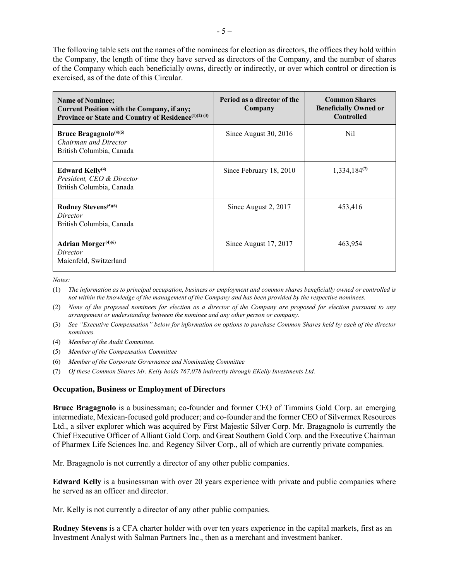The following table sets out the names of the nominees for election as directors, the offices they hold within the Company, the length of time they have served as directors of the Company, and the number of shares of the Company which each beneficially owns, directly or indirectly, or over which control or direction is exercised, as of the date of this Circular.

| <b>Name of Nominee;</b><br><b>Current Position with the Company, if any;</b><br>Province or State and Country of Residence <sup>(1)(2)(3)</sup> | Period as a director of the<br>Company | <b>Common Shares</b><br><b>Beneficially Owned or</b><br><b>Controlled</b> |
|-------------------------------------------------------------------------------------------------------------------------------------------------|----------------------------------------|---------------------------------------------------------------------------|
| Bruce Bragagnolo <sup>(4)(5)</sup><br>Chairman and Director<br>British Columbia, Canada                                                         | Since August 30, 2016                  | Nil.                                                                      |
| Edward Kelly <sup>(4)</sup><br>President, CEO & Director<br>British Columbia, Canada                                                            | Since February 18, 2010                | $1,334,184^{(7)}$                                                         |
| Rodney Stevens <sup>(5)(6)</sup><br>Director<br>British Columbia, Canada                                                                        | Since August 2, 2017                   | 453,416                                                                   |
| <b>Adrian Morger</b> <sup>(4)(6)</sup><br>Director<br>Maienfeld, Switzerland                                                                    | Since August 17, 2017                  | 463,954                                                                   |

*Notes:*

- (1) *The information as to principal occupation, business or employment and common shares beneficially owned or controlled is not within the knowledge of the management of the Company and has been provided by the respective nominees.*
- (2) *None of the proposed nominees for election as a director of the Company are proposed for election pursuant to any arrangement or understanding between the nominee and any other person or company.*
- (3) *See "Executive Compensation" below for information on options to purchase Common Shares held by each of the director nominees.*
- (4) *Member of the Audit Committee.*
- (5) *Member of the Compensation Committee*
- (6) *Member of the Corporate Governance and Nominating Committee*
- (7) *Of these Common Shares Mr. Kelly holds 767,078 indirectly through EKelly Investments Ltd.*

## **Occupation, Business or Employment of Directors**

**Bruce Bragagnolo** is a businessman; co-founder and former CEO of Timmins Gold Corp. an emerging intermediate, Mexican-focused gold producer; and co-founder and the former CEO of Silvermex Resources Ltd., a silver explorer which was acquired by First Majestic Silver Corp. Mr. Bragagnolo is currently the Chief Executive Officer of Alliant Gold Corp. and Great Southern Gold Corp. and the Executive Chairman of Pharmex Life Sciences Inc. and Regency Silver Corp., all of which are currently private companies.

Mr. Bragagnolo is not currently a director of any other public companies.

**Edward Kelly** is a businessman with over 20 years experience with private and public companies where he served as an officer and director.

Mr. Kelly is not currently a director of any other public companies.

**Rodney Stevens** is a CFA charter holder with over ten years experience in the capital markets, first as an Investment Analyst with Salman Partners Inc., then as a merchant and investment banker.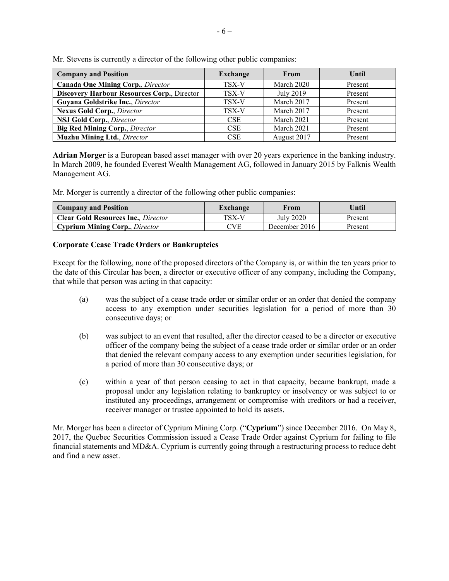| <b>Company and Position</b>                        | <b>Exchange</b> | From        | <b>Until</b> |
|----------------------------------------------------|-----------------|-------------|--------------|
| <b>Canada One Mining Corp.</b> , Director          | TSX-V           | March 2020  | Present      |
| <b>Discovery Harbour Resources Corp., Director</b> | TSX-V           | July 2019   | Present      |
| Guyana Goldstrike Inc., Director                   | TSX-V           | March 2017  | Present      |
| <b>Nexus Gold Corp., Director</b>                  | TSX-V           | March 2017  | Present      |
| NSJ Gold Corp., Director                           | <b>CSE</b>      | March 2021  | Present      |
| <b>Big Red Mining Corp.</b> , Director             | <b>CSE</b>      | March 2021  | Present      |
| <b>Muzhu Mining Ltd.</b> , Director                | <b>CSE</b>      | August 2017 | Present      |

Mr. Stevens is currently a director of the following other public companies:

**Adrian Morger** is a European based asset manager with over 20 years experience in the banking industry. In March 2009, he founded Everest Wealth Management AG, followed in January 2015 by Falknis Wealth Management AG.

Mr. Morger is currently a director of the following other public companies:

| <b>Company and Position</b>                 | Exchange   | From          | Until   |
|---------------------------------------------|------------|---------------|---------|
| <b>Clear Gold Resources Inc.</b> , Director | TSX-V      | July 2020     | Present |
| <b>Cyprium Mining Corp., Director</b>       | <b>CVE</b> | December 2016 | Present |

## **Corporate Cease Trade Orders or Bankruptcies**

Except for the following, none of the proposed directors of the Company is, or within the ten years prior to the date of this Circular has been, a director or executive officer of any company, including the Company, that while that person was acting in that capacity:

- (a) was the subject of a cease trade order or similar order or an order that denied the company access to any exemption under securities legislation for a period of more than 30 consecutive days; or
- (b) was subject to an event that resulted, after the director ceased to be a director or executive officer of the company being the subject of a cease trade order or similar order or an order that denied the relevant company access to any exemption under securities legislation, for a period of more than 30 consecutive days; or
- (c) within a year of that person ceasing to act in that capacity, became bankrupt, made a proposal under any legislation relating to bankruptcy or insolvency or was subject to or instituted any proceedings, arrangement or compromise with creditors or had a receiver, receiver manager or trustee appointed to hold its assets.

Mr. Morger has been a director of Cyprium Mining Corp. ("**Cyprium**") since December 2016. On May 8, 2017, the Quebec Securities Commission issued a Cease Trade Order against Cyprium for failing to file financial statements and MD&A. Cyprium is currently going through a restructuring process to reduce debt and find a new asset.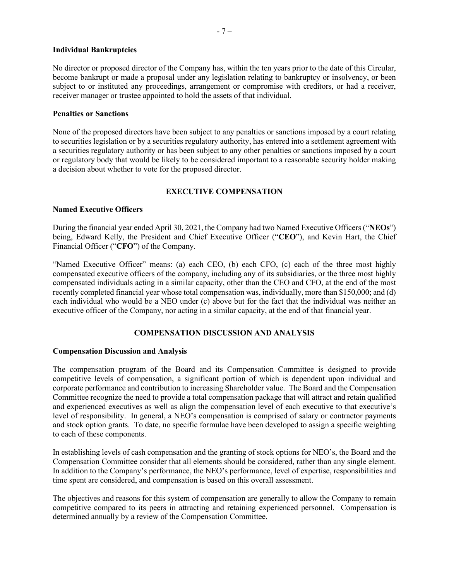## **Individual Bankruptcies**

No director or proposed director of the Company has, within the ten years prior to the date of this Circular, become bankrupt or made a proposal under any legislation relating to bankruptcy or insolvency, or been subject to or instituted any proceedings, arrangement or compromise with creditors, or had a receiver, receiver manager or trustee appointed to hold the assets of that individual.

## **Penalties or Sanctions**

None of the proposed directors have been subject to any penalties or sanctions imposed by a court relating to securities legislation or by a securities regulatory authority, has entered into a settlement agreement with a securities regulatory authority or has been subject to any other penalties or sanctions imposed by a court or regulatory body that would be likely to be considered important to a reasonable security holder making a decision about whether to vote for the proposed director.

# **EXECUTIVE COMPENSATION**

# **Named Executive Officers**

During the financial year ended April 30, 2021, the Company had two Named Executive Officers ("**NEOs**") being, Edward Kelly, the President and Chief Executive Officer ("**CEO**"), and Kevin Hart, the Chief Financial Officer ("**CFO**") of the Company.

"Named Executive Officer" means: (a) each CEO, (b) each CFO, (c) each of the three most highly compensated executive officers of the company, including any of its subsidiaries, or the three most highly compensated individuals acting in a similar capacity, other than the CEO and CFO, at the end of the most recently completed financial year whose total compensation was, individually, more than \$150,000; and (d) each individual who would be a NEO under (c) above but for the fact that the individual was neither an executive officer of the Company, nor acting in a similar capacity, at the end of that financial year.

# **COMPENSATION DISCUSSION AND ANALYSIS**

## **Compensation Discussion and Analysis**

The compensation program of the Board and its Compensation Committee is designed to provide competitive levels of compensation, a significant portion of which is dependent upon individual and corporate performance and contribution to increasing Shareholder value. The Board and the Compensation Committee recognize the need to provide a total compensation package that will attract and retain qualified and experienced executives as well as align the compensation level of each executive to that executive's level of responsibility. In general, a NEO's compensation is comprised of salary or contractor payments and stock option grants. To date, no specific formulae have been developed to assign a specific weighting to each of these components.

In establishing levels of cash compensation and the granting of stock options for NEO's, the Board and the Compensation Committee consider that all elements should be considered, rather than any single element. In addition to the Company's performance, the NEO's performance, level of expertise, responsibilities and time spent are considered, and compensation is based on this overall assessment.

The objectives and reasons for this system of compensation are generally to allow the Company to remain competitive compared to its peers in attracting and retaining experienced personnel. Compensation is determined annually by a review of the Compensation Committee.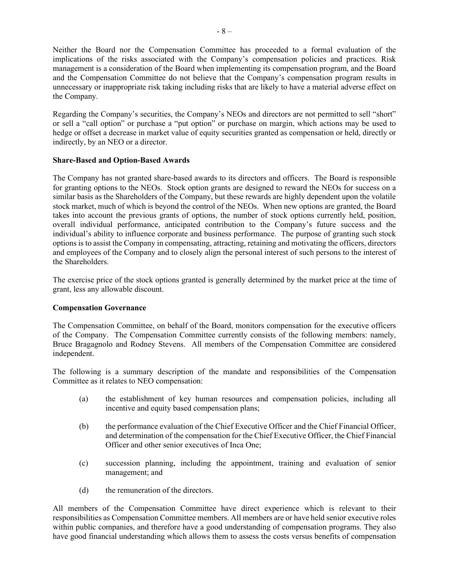Neither the Board nor the Compensation Committee has proceeded to a formal evaluation of the implications of the risks associated with the Company's compensation policies and practices. Risk management is a consideration of the Board when implementing its compensation program, and the Board and the Compensation Committee do not believe that the Company's compensation program results in unnecessary or inappropriate risk taking including risks that are likely to have a material adverse effect on the Company.

Regarding the Company's securities, the Company's NEOs and directors are not permitted to sell "short" or sell a "call option" or purchase a "put option" or purchase on margin, which actions may be used to hedge or offset a decrease in market value of equity securities granted as compensation or held, directly or indirectly, by an NEO or a director.

# **Share-Based and Option-Based Awards**

The Company has not granted share-based awards to its directors and officers. The Board is responsible for granting options to the NEOs. Stock option grants are designed to reward the NEOs for success on a similar basis as the Shareholders of the Company, but these rewards are highly dependent upon the volatile stock market, much of which is beyond the control of the NEOs. When new options are granted, the Board takes into account the previous grants of options, the number of stock options currently held, position, overall individual performance, anticipated contribution to the Company's future success and the individual's ability to influence corporate and business performance. The purpose of granting such stock options is to assist the Company in compensating, attracting, retaining and motivating the officers, directors and employees of the Company and to closely align the personal interest of such persons to the interest of the Shareholders.

The exercise price of the stock options granted is generally determined by the market price at the time of grant, less any allowable discount.

# **Compensation Governance**

The Compensation Committee, on behalf of the Board, monitors compensation for the executive officers of the Company. The Compensation Committee currently consists of the following members: namely, Bruce Bragagnolo and Rodney Stevens. All members of the Compensation Committee are considered independent.

The following is a summary description of the mandate and responsibilities of the Compensation Committee as it relates to NEO compensation:

- (a) the establishment of key human resources and compensation policies, including all incentive and equity based compensation plans;
- (b) the performance evaluation of the Chief Executive Officer and the Chief Financial Officer, and determination of the compensation for the Chief Executive Officer, the Chief Financial Officer and other senior executives of Inca One;
- (c) succession planning, including the appointment, training and evaluation of senior management; and
- (d) the remuneration of the directors.

All members of the Compensation Committee have direct experience which is relevant to their responsibilities as Compensation Committee members. All members are or have held senior executive roles within public companies, and therefore have a good understanding of compensation programs. They also have good financial understanding which allows them to assess the costs versus benefits of compensation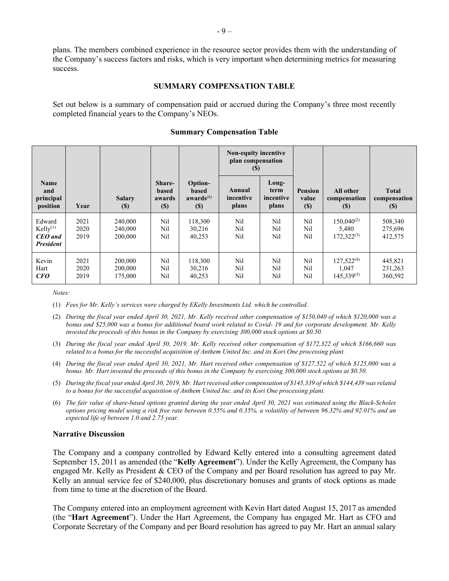plans. The members combined experience in the resource sector provides them with the understanding of the Company's success factors and risks, which is very important when determining metrics for measuring success.

## **SUMMARY COMPENSATION TABLE**

Set out below is a summary of compensation paid or accrued during the Company's three most recently completed financial years to the Company's NEOs.

|                                                                        |                      |                                             |                                            |                                                                   | Non-equity incentive<br>plan compensation<br>(S) |                                     |                                                       |                                             |                                     |
|------------------------------------------------------------------------|----------------------|---------------------------------------------|--------------------------------------------|-------------------------------------------------------------------|--------------------------------------------------|-------------------------------------|-------------------------------------------------------|---------------------------------------------|-------------------------------------|
| Name<br>and<br>principal<br>position                                   | Year                 | <b>Salary</b><br>$\left( \mathbb{S}\right)$ | Share-<br><b>based</b><br>awards<br>$(\$)$ | Option-<br>based<br>awards $^{(6)}$<br>$\left( \mathbb{S}\right)$ | Annual<br>incentive<br>plans                     | Long-<br>term<br>incentive<br>plans | <b>Pension</b><br>value<br>$\left( \mathbb{S}\right)$ | All other<br>compensation<br>(S)            | <b>Total</b><br>compensation<br>(S) |
| Edward<br>$Kelly$ <sup>(1)</sup><br><b>CEO</b> and<br><b>President</b> | 2021<br>2020<br>2019 | 240,000<br>240,000<br>200,000               | Nil<br>Nil<br>Nil                          | 118,300<br>30,216<br>40,253                                       | Nil<br>Nil<br>Nil                                | Nil<br>Nil<br>Nil                   | Nil<br>Nil<br>Nil                                     | $150,040^{(2)}$<br>5,480<br>$172,322^{(3)}$ | 508,340<br>275,696<br>412,575       |
| Kevin<br>Hart<br>CFO                                                   | 2021<br>2020<br>2019 | 200,000<br>200,000<br>175,000               | Nil<br>Nil<br>Nil                          | 118,300<br>30,216<br>40,253                                       | Nil<br>Nil<br>Nil                                | Nil<br>Nil<br>Nil                   | Nil<br>Nil<br>Nil                                     | $127,522^{(4)}$<br>1.047<br>$145,339^{(5)}$ | 445,821<br>231,263<br>360,592       |

## **Summary Compensation Table**

*Notes:* 

(1) *Fees for Mr. Kelly's services were charged by EKelly Investments Ltd. which he controlled.*

- (2) *During the fiscal year ended April 30, 2021, Mr. Kelly received other compensation of \$150,040 of which \$120,000 was a bonus and \$25,000 was a bonus for additional board work related to Covid- 19 and for corporate development. Mr. Kelly invested the proceeds of this bonus in the Company by exercising 300,000 stock options at \$0.50.*
- (3) *During the fiscal year ended April 30, 2019, Mr. Kelly received other compensation of \$172,322 of which \$166,660 was related to a bonus for the successful acquisition of Anthem United Inc. and its Kori One processing plant.*
- (4) *During the fiscal year ended April 30, 2021, Mr. Hart received other compensation of \$127,522 of which \$125,000 was a bonus. Mr. Hart invested the proceeds of this bonus in the Company by exercising 300,000 stock options at \$0.50.*
- (5) *During the fiscal year ended April 30, 2019, Mr. Hart received other compensation of \$145,339 of which \$144,439 was related to a bonus for the successful acquisition of Anthem United Inc. and its Kori One processing plant.*
- (6) *The fair value of share-based options granted during the year ended April 30, 2021 was estimated using the Black-Scholes options pricing model using a risk free rate between 0.55% and 0.35%, a volatility of between 96.32% and 92.01% and an expected life of between 1.0 and 2.75 year.*

## **Narrative Discussion**

The Company and a company controlled by Edward Kelly entered into a consulting agreement dated September 15, 2011 as amended (the "**Kelly Agreement**"). Under the Kelly Agreement, the Company has engaged Mr. Kelly as President & CEO of the Company and per Board resolution has agreed to pay Mr. Kelly an annual service fee of \$240,000, plus discretionary bonuses and grants of stock options as made from time to time at the discretion of the Board.

The Company entered into an employment agreement with Kevin Hart dated August 15, 2017 as amended (the "**Hart Agreement**"). Under the Hart Agreement, the Company has engaged Mr. Hart as CFO and Corporate Secretary of the Company and per Board resolution has agreed to pay Mr. Hart an annual salary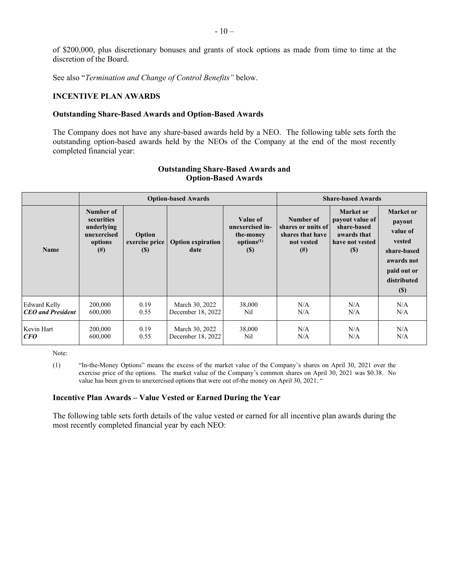of \$200,000, plus discretionary bonuses and grants of stock options as made from time to time at the discretion of the Board.

See also "*Termination and Change of Control Benefits"* below.

# **INCENTIVE PLAN AWARDS**

#### **Outstanding Share-Based Awards and Option-Based Awards**

The Company does not have any share-based awards held by a NEO. The following table sets forth the outstanding option-based awards held by the NEOs of the Company at the end of the most recently completed financial year:

|                          |                                                                             | <b>Option-based Awards</b>         |                                  |                                                                                                  | <b>Share-based Awards</b>                                                     |                                                                                                                    |                                                                                                                       |
|--------------------------|-----------------------------------------------------------------------------|------------------------------------|----------------------------------|--------------------------------------------------------------------------------------------------|-------------------------------------------------------------------------------|--------------------------------------------------------------------------------------------------------------------|-----------------------------------------------------------------------------------------------------------------------|
| <b>Name</b>              | Number of<br>securities<br>underlying<br>unexercised<br>options<br>$^{(#)}$ | Option<br>exercise price<br>$(\$)$ | <b>Option expiration</b><br>date | Value of<br>unexercised in-<br>the-money<br>options <sup>(1)</sup><br>$\left( \mathbb{S}\right)$ | Number of<br>shares or units of<br>shares that have<br>not vested<br>$^{(#)}$ | <b>Market</b> or<br>payout value of<br>share-based<br>awards that<br>have not vested<br>$\left( \mathbb{S}\right)$ | <b>Market</b> or<br>payout<br>value of<br>vested<br>share-based<br>awards not<br>paid out or<br>distributed<br>$(\$)$ |
| <b>Edward Kelly</b>      | 200,000                                                                     | 0.19                               | March 30, 2022                   | 38,000                                                                                           | N/A                                                                           | N/A                                                                                                                | N/A                                                                                                                   |
| <b>CEO</b> and President | 600,000                                                                     | 0.55                               | December 18, 2022                | Nil                                                                                              | N/A                                                                           | N/A                                                                                                                | N/A                                                                                                                   |
| Kevin Hart               | 200,000                                                                     | 0.19                               | March 30, 2022                   | 38,000                                                                                           | N/A                                                                           | N/A                                                                                                                | N/A                                                                                                                   |
| CFO                      | 600,000                                                                     | 0.55                               | December 18, 2022                | Nil                                                                                              | N/A                                                                           | N/A                                                                                                                | N/A                                                                                                                   |

# **Outstanding Share-Based Awards and Option-Based Awards**

Note:

(1) "In-the-Money Options" means the excess of the market value of the Company's shares on April 30, 2021 over the exercise price of the options. The market value of the Company's common shares on April 30, 2021 was \$0.38. No value has been given to unexercised options that were out of-the money on April 30, 2021. "

## **Incentive Plan Awards – Value Vested or Earned During the Year**

The following table sets forth details of the value vested or earned for all incentive plan awards during the most recently completed financial year by each NEO: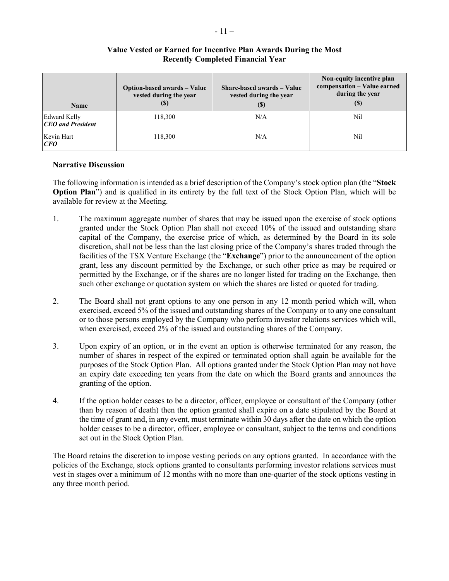| Name                                            | Option-based awards - Value<br>vested during the year<br>(S) | Share-based awards – Value<br>vested during the year<br>(S) | Non-equity incentive plan<br>compensation - Value earned<br>during the year<br>$\left( \mathbb{S}\right)$ |
|-------------------------------------------------|--------------------------------------------------------------|-------------------------------------------------------------|-----------------------------------------------------------------------------------------------------------|
| <b>Edward Kelly</b><br><b>CEO</b> and President | 118,300                                                      | N/A                                                         | Nil                                                                                                       |
| Kevin Hart<br>CFO                               | 118,300                                                      | N/A                                                         | Nil                                                                                                       |

# **Value Vested or Earned for Incentive Plan Awards During the Most Recently Completed Financial Year**

# **Narrative Discussion**

The following information is intended as a brief description of the Company's stock option plan (the "**Stock Option Plan**") and is qualified in its entirety by the full text of the Stock Option Plan, which will be available for review at the Meeting.

- 1. The maximum aggregate number of shares that may be issued upon the exercise of stock options granted under the Stock Option Plan shall not exceed 10% of the issued and outstanding share capital of the Company, the exercise price of which, as determined by the Board in its sole discretion, shall not be less than the last closing price of the Company's shares traded through the facilities of the TSX Venture Exchange (the "**Exchange**") prior to the announcement of the option grant, less any discount permitted by the Exchange, or such other price as may be required or permitted by the Exchange, or if the shares are no longer listed for trading on the Exchange, then such other exchange or quotation system on which the shares are listed or quoted for trading.
- 2. The Board shall not grant options to any one person in any 12 month period which will, when exercised, exceed 5% of the issued and outstanding shares of the Company or to any one consultant or to those persons employed by the Company who perform investor relations services which will, when exercised, exceed 2% of the issued and outstanding shares of the Company.
- 3. Upon expiry of an option, or in the event an option is otherwise terminated for any reason, the number of shares in respect of the expired or terminated option shall again be available for the purposes of the Stock Option Plan. All options granted under the Stock Option Plan may not have an expiry date exceeding ten years from the date on which the Board grants and announces the granting of the option.
- 4. If the option holder ceases to be a director, officer, employee or consultant of the Company (other than by reason of death) then the option granted shall expire on a date stipulated by the Board at the time of grant and, in any event, must terminate within 30 days after the date on which the option holder ceases to be a director, officer, employee or consultant, subject to the terms and conditions set out in the Stock Option Plan.

The Board retains the discretion to impose vesting periods on any options granted. In accordance with the policies of the Exchange, stock options granted to consultants performing investor relations services must vest in stages over a minimum of 12 months with no more than one-quarter of the stock options vesting in any three month period.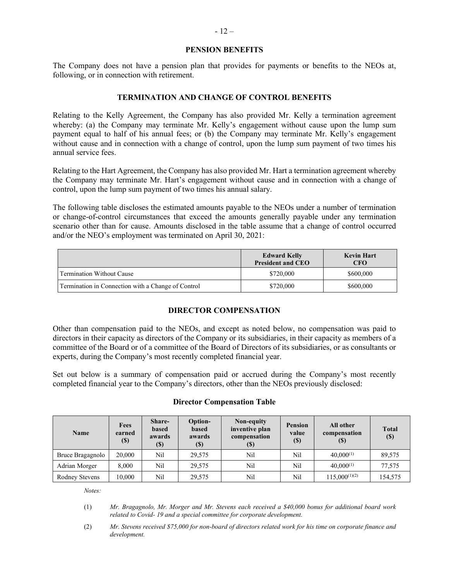#### **PENSION BENEFITS**

The Company does not have a pension plan that provides for payments or benefits to the NEOs at, following, or in connection with retirement.

## **TERMINATION AND CHANGE OF CONTROL BENEFITS**

Relating to the Kelly Agreement, the Company has also provided Mr. Kelly a termination agreement whereby: (a) the Company may terminate Mr. Kelly's engagement without cause upon the lump sum payment equal to half of his annual fees; or (b) the Company may terminate Mr. Kelly's engagement without cause and in connection with a change of control, upon the lump sum payment of two times his annual service fees.

Relating to the Hart Agreement, the Company has also provided Mr. Hart a termination agreement whereby the Company may terminate Mr. Hart's engagement without cause and in connection with a change of control, upon the lump sum payment of two times his annual salary.

The following table discloses the estimated amounts payable to the NEOs under a number of termination or change-of-control circumstances that exceed the amounts generally payable under any termination scenario other than for cause. Amounts disclosed in the table assume that a change of control occurred and/or the NEO's employment was terminated on April 30, 2021:

|                                                    | <b>Edward Kelly</b><br><b>President and CEO</b> | <b>Kevin Hart</b><br><b>CFO</b> |
|----------------------------------------------------|-------------------------------------------------|---------------------------------|
| Termination Without Cause                          | \$720,000                                       | \$600,000                       |
| Termination in Connection with a Change of Control | \$720,000                                       | \$600,000                       |

# **DIRECTOR COMPENSATION**

Other than compensation paid to the NEOs, and except as noted below, no compensation was paid to directors in their capacity as directors of the Company or its subsidiaries, in their capacity as members of a committee of the Board or of a committee of the Board of Directors of its subsidiaries, or as consultants or experts, during the Company's most recently completed financial year.

Set out below is a summary of compensation paid or accrued during the Company's most recently completed financial year to the Company's directors, other than the NEOs previously disclosed:

## **Director Compensation Table**

| <b>Name</b>      | Fees<br>earned<br>$\left( \mathbb{S}\right)$ | Share-<br>based<br>awards<br>$\left( \mathbb{S}\right)$ | <b>Option-</b><br>based<br>awards<br>$(\$\)$ | Non-equity<br>inventive plan<br>compensation<br>$\left( \mathbb{S}\right)$ | <b>Pension</b><br>value<br>$\left( \mathbb{S}\right)$ | All other<br>compensation<br>$\left( \mathbb{S}\right)$ | <b>Total</b><br>$\left( \mathbb{S}\right)$ |
|------------------|----------------------------------------------|---------------------------------------------------------|----------------------------------------------|----------------------------------------------------------------------------|-------------------------------------------------------|---------------------------------------------------------|--------------------------------------------|
| Bruce Bragagnolo | 20,000                                       | Nil                                                     | 29,575                                       | Nil                                                                        | Nil                                                   | $40,000^{(1)}$                                          | 89,575                                     |
| Adrian Morger    | 8.000                                        | Nil                                                     | 29.575                                       | Nil                                                                        | Nil                                                   | $40,000^{(1)}$                                          | 77,575                                     |
| Rodney Stevens   | 10.000                                       | Nil                                                     | 29.575                                       | Nil                                                                        | Nil                                                   | $115,000^{(1)(2)}$                                      | 154,575                                    |

*Notes:* 

(1) *Mr. Bragagnolo, Mr. Morger and Mr. Stevens each received a \$40,000 bonus for additional board work related to Covid- 19 and a special committee for corporate development.*

(2) *Mr. Stevens received \$75,000 for non-board of directors related work for his time on corporate finance and development.*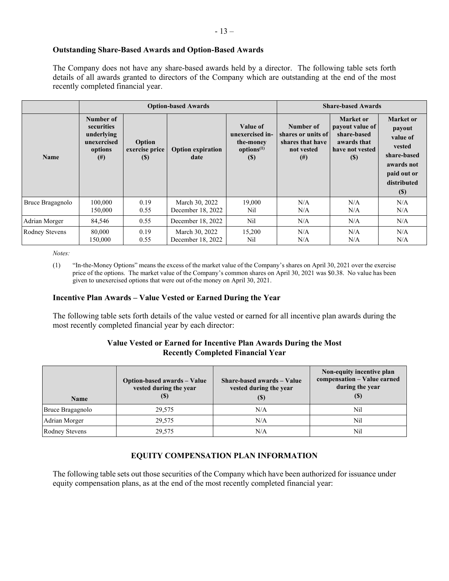## **Outstanding Share-Based Awards and Option-Based Awards**

The Company does not have any share-based awards held by a director. The following table sets forth details of all awards granted to directors of the Company which are outstanding at the end of the most recently completed financial year.

|                       | <b>Option-based Awards</b>                                              |                                 |                                     |                                                                         |                                                                               | <b>Share-based Awards</b>                                                                                   |                                                                                                                            |
|-----------------------|-------------------------------------------------------------------------|---------------------------------|-------------------------------------|-------------------------------------------------------------------------|-------------------------------------------------------------------------------|-------------------------------------------------------------------------------------------------------------|----------------------------------------------------------------------------------------------------------------------------|
| <b>Name</b>           | Number of<br>securities<br>underlying<br>unexercised<br>options<br>(# ) | Option<br>exercise price<br>(S) | <b>Option expiration</b><br>date    | Value of<br>unexercised in-<br>the-money<br>options $(1)$<br><b>(S)</b> | Number of<br>shares or units of<br>shares that have<br>not vested<br>$^{(#)}$ | Market or<br>payout value of<br>share-based<br>awards that<br>have not vested<br>$\left( \mathbb{S}\right)$ | <b>Market</b> or<br>payout<br>value of<br>vested<br>share-based<br>awards not<br>paid out or<br>distributed<br><b>(\$)</b> |
| Bruce Bragagnolo      | 100,000<br>150,000                                                      | 0.19<br>0.55                    | March 30, 2022<br>December 18, 2022 | 19,000<br>Nil                                                           | N/A<br>N/A                                                                    | N/A<br>N/A                                                                                                  | N/A<br>N/A                                                                                                                 |
| Adrian Morger         | 84,546                                                                  | 0.55                            | December 18, 2022                   | Nil                                                                     | N/A                                                                           | N/A                                                                                                         | N/A                                                                                                                        |
| <b>Rodney Stevens</b> | 80,000<br>150,000                                                       | 0.19<br>0.55                    | March 30, 2022<br>December 18, 2022 | 15,200<br>Nil                                                           | N/A<br>N/A                                                                    | N/A<br>N/A                                                                                                  | N/A<br>N/A                                                                                                                 |

*Notes:*

## **Incentive Plan Awards – Value Vested or Earned During the Year**

The following table sets forth details of the value vested or earned for all incentive plan awards during the most recently completed financial year by each director:

## **Value Vested or Earned for Incentive Plan Awards During the Most Recently Completed Financial Year**

| <b>Name</b>      | Option-based awards - Value<br>vested during the year<br>(S) | Share-based awards - Value<br>vested during the year<br>(S) | Non-equity incentive plan<br>compensation - Value earned<br>during the year<br>(S) |
|------------------|--------------------------------------------------------------|-------------------------------------------------------------|------------------------------------------------------------------------------------|
| Bruce Bragagnolo | 29,575                                                       | N/A                                                         | Nil                                                                                |
| Adrian Morger    | 29,575                                                       | N/A                                                         | Nil                                                                                |
| Rodney Stevens   | 29,575                                                       | N/A                                                         | Nil                                                                                |

# **EQUITY COMPENSATION PLAN INFORMATION**

The following table sets out those securities of the Company which have been authorized for issuance under equity compensation plans, as at the end of the most recently completed financial year:

<sup>(1)</sup> "In-the-Money Options" means the excess of the market value of the Company's shares on April 30, 2021 over the exercise price of the options. The market value of the Company's common shares on April 30, 2021 was \$0.38. No value has been given to unexercised options that were out of-the money on April 30, 2021.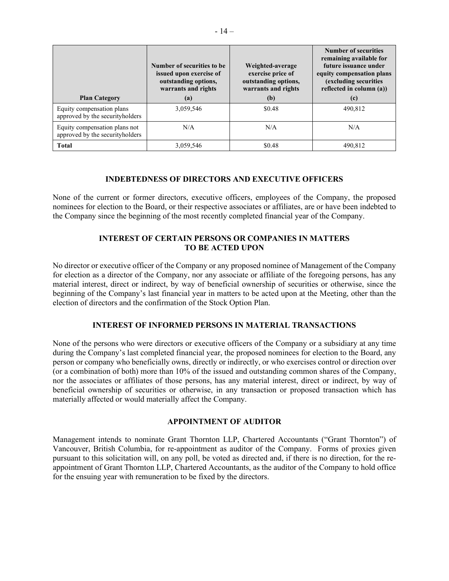| <b>Plan Category</b>                                              | Number of securities to be.<br>issued upon exercise of<br>outstanding options,<br>warrants and rights<br>(a) | Weighted-average<br>exercise price of<br>outstanding options,<br>warrants and rights<br>(b) | Number of securities<br>remaining available for<br>future issuance under<br>equity compensation plans<br>(excluding securities<br>reflected in column (a))<br>(c) |
|-------------------------------------------------------------------|--------------------------------------------------------------------------------------------------------------|---------------------------------------------------------------------------------------------|-------------------------------------------------------------------------------------------------------------------------------------------------------------------|
| Equity compensation plans<br>approved by the securityholders      | 3,059,546                                                                                                    | \$0.48                                                                                      | 490,812                                                                                                                                                           |
| Equity compensation plans not<br>approved by the security holders | N/A                                                                                                          | N/A                                                                                         | N/A                                                                                                                                                               |
| <b>Total</b>                                                      | 3.059.546                                                                                                    | \$0.48                                                                                      | 490.812                                                                                                                                                           |

# **INDEBTEDNESS OF DIRECTORS AND EXECUTIVE OFFICERS**

None of the current or former directors, executive officers, employees of the Company, the proposed nominees for election to the Board, or their respective associates or affiliates, are or have been indebted to the Company since the beginning of the most recently completed financial year of the Company.

# **INTEREST OF CERTAIN PERSONS OR COMPANIES IN MATTERS TO BE ACTED UPON**

No director or executive officer of the Company or any proposed nominee of Management of the Company for election as a director of the Company, nor any associate or affiliate of the foregoing persons, has any material interest, direct or indirect, by way of beneficial ownership of securities or otherwise, since the beginning of the Company's last financial year in matters to be acted upon at the Meeting, other than the election of directors and the confirmation of the Stock Option Plan.

# **INTEREST OF INFORMED PERSONS IN MATERIAL TRANSACTIONS**

None of the persons who were directors or executive officers of the Company or a subsidiary at any time during the Company's last completed financial year, the proposed nominees for election to the Board, any person or company who beneficially owns, directly or indirectly, or who exercises control or direction over (or a combination of both) more than 10% of the issued and outstanding common shares of the Company, nor the associates or affiliates of those persons, has any material interest, direct or indirect, by way of beneficial ownership of securities or otherwise, in any transaction or proposed transaction which has materially affected or would materially affect the Company.

# **APPOINTMENT OF AUDITOR**

Management intends to nominate Grant Thornton LLP, Chartered Accountants ("Grant Thornton") of Vancouver, British Columbia, for re-appointment as auditor of the Company. Forms of proxies given pursuant to this solicitation will, on any poll, be voted as directed and, if there is no direction, for the reappointment of Grant Thornton LLP, Chartered Accountants, as the auditor of the Company to hold office for the ensuing year with remuneration to be fixed by the directors.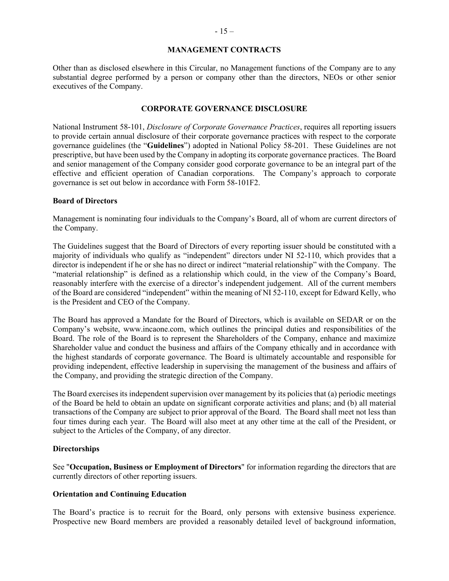#### **MANAGEMENT CONTRACTS**

Other than as disclosed elsewhere in this Circular, no Management functions of the Company are to any substantial degree performed by a person or company other than the directors, NEOs or other senior executives of the Company.

## **CORPORATE GOVERNANCE DISCLOSURE**

National Instrument 58-101, *Disclosure of Corporate Governance Practices*, requires all reporting issuers to provide certain annual disclosure of their corporate governance practices with respect to the corporate governance guidelines (the "**Guidelines**") adopted in National Policy 58-201. These Guidelines are not prescriptive, but have been used by the Company in adopting its corporate governance practices. The Board and senior management of the Company consider good corporate governance to be an integral part of the effective and efficient operation of Canadian corporations. The Company's approach to corporate governance is set out below in accordance with Form 58-101F2.

#### **Board of Directors**

Management is nominating four individuals to the Company's Board, all of whom are current directors of the Company.

The Guidelines suggest that the Board of Directors of every reporting issuer should be constituted with a majority of individuals who qualify as "independent" directors under NI 52-110, which provides that a director is independent if he or she has no direct or indirect "material relationship" with the Company. The "material relationship" is defined as a relationship which could, in the view of the Company's Board, reasonably interfere with the exercise of a director's independent judgement. All of the current members of the Board are considered "independent" within the meaning of NI 52-110, except for Edward Kelly, who is the President and CEO of the Company.

The Board has approved a Mandate for the Board of Directors, which is available on SEDAR or on the Company's website, www.incaone.com, which outlines the principal duties and responsibilities of the Board. The role of the Board is to represent the Shareholders of the Company, enhance and maximize Shareholder value and conduct the business and affairs of the Company ethically and in accordance with the highest standards of corporate governance. The Board is ultimately accountable and responsible for providing independent, effective leadership in supervising the management of the business and affairs of the Company, and providing the strategic direction of the Company.

The Board exercises its independent supervision over management by its policies that (a) periodic meetings of the Board be held to obtain an update on significant corporate activities and plans; and (b) all material transactions of the Company are subject to prior approval of the Board. The Board shall meet not less than four times during each year. The Board will also meet at any other time at the call of the President, or subject to the Articles of the Company, of any director.

## **Directorships**

See "**Occupation, Business or Employment of Directors**" for information regarding the directors that are currently directors of other reporting issuers.

## **Orientation and Continuing Education**

The Board's practice is to recruit for the Board, only persons with extensive business experience. Prospective new Board members are provided a reasonably detailed level of background information,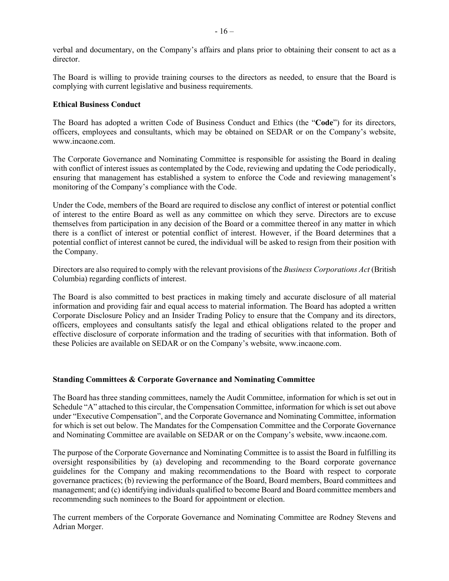verbal and documentary, on the Company's affairs and plans prior to obtaining their consent to act as a director.

The Board is willing to provide training courses to the directors as needed, to ensure that the Board is complying with current legislative and business requirements.

## **Ethical Business Conduct**

The Board has adopted a written Code of Business Conduct and Ethics (the "**Code**") for its directors, officers, employees and consultants, which may be obtained on SEDAR or on the Company's website, www.incaone.com.

The Corporate Governance and Nominating Committee is responsible for assisting the Board in dealing with conflict of interest issues as contemplated by the Code, reviewing and updating the Code periodically, ensuring that management has established a system to enforce the Code and reviewing management's monitoring of the Company's compliance with the Code.

Under the Code, members of the Board are required to disclose any conflict of interest or potential conflict of interest to the entire Board as well as any committee on which they serve. Directors are to excuse themselves from participation in any decision of the Board or a committee thereof in any matter in which there is a conflict of interest or potential conflict of interest. However, if the Board determines that a potential conflict of interest cannot be cured, the individual will be asked to resign from their position with the Company.

Directors are also required to comply with the relevant provisions of the *Business Corporations Act* (British Columbia) regarding conflicts of interest.

The Board is also committed to best practices in making timely and accurate disclosure of all material information and providing fair and equal access to material information. The Board has adopted a written Corporate Disclosure Policy and an Insider Trading Policy to ensure that the Company and its directors, officers, employees and consultants satisfy the legal and ethical obligations related to the proper and effective disclosure of corporate information and the trading of securities with that information. Both of these Policies are available on SEDAR or on the Company's website, www.incaone.com.

## **Standing Committees & Corporate Governance and Nominating Committee**

The Board has three standing committees, namely the Audit Committee, information for which is set out in Schedule "A" attached to this circular, the Compensation Committee, information for which is set out above under "Executive Compensation", and the Corporate Governance and Nominating Committee, information for which is set out below. The Mandates for the Compensation Committee and the Corporate Governance and Nominating Committee are available on SEDAR or on the Company's website, www.incaone.com.

The purpose of the Corporate Governance and Nominating Committee is to assist the Board in fulfilling its oversight responsibilities by (a) developing and recommending to the Board corporate governance guidelines for the Company and making recommendations to the Board with respect to corporate governance practices; (b) reviewing the performance of the Board, Board members, Board committees and management; and (c) identifying individuals qualified to become Board and Board committee members and recommending such nominees to the Board for appointment or election.

The current members of the Corporate Governance and Nominating Committee are Rodney Stevens and Adrian Morger.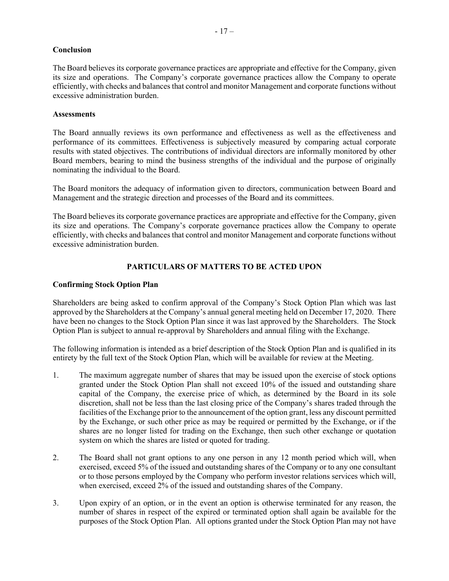# **Conclusion**

The Board believes its corporate governance practices are appropriate and effective for the Company, given its size and operations. The Company's corporate governance practices allow the Company to operate efficiently, with checks and balances that control and monitor Management and corporate functions without excessive administration burden.

## **Assessments**

The Board annually reviews its own performance and effectiveness as well as the effectiveness and performance of its committees. Effectiveness is subjectively measured by comparing actual corporate results with stated objectives. The contributions of individual directors are informally monitored by other Board members, bearing to mind the business strengths of the individual and the purpose of originally nominating the individual to the Board.

The Board monitors the adequacy of information given to directors, communication between Board and Management and the strategic direction and processes of the Board and its committees.

The Board believes its corporate governance practices are appropriate and effective for the Company, given its size and operations. The Company's corporate governance practices allow the Company to operate efficiently, with checks and balances that control and monitor Management and corporate functions without excessive administration burden.

# **PARTICULARS OF MATTERS TO BE ACTED UPON**

## **Confirming Stock Option Plan**

Shareholders are being asked to confirm approval of the Company's Stock Option Plan which was last approved by the Shareholders at the Company's annual general meeting held on December 17, 2020. There have been no changes to the Stock Option Plan since it was last approved by the Shareholders. The Stock Option Plan is subject to annual re-approval by Shareholders and annual filing with the Exchange.

The following information is intended as a brief description of the Stock Option Plan and is qualified in its entirety by the full text of the Stock Option Plan, which will be available for review at the Meeting.

- 1. The maximum aggregate number of shares that may be issued upon the exercise of stock options granted under the Stock Option Plan shall not exceed 10% of the issued and outstanding share capital of the Company, the exercise price of which, as determined by the Board in its sole discretion, shall not be less than the last closing price of the Company's shares traded through the facilities of the Exchange prior to the announcement of the option grant, less any discount permitted by the Exchange, or such other price as may be required or permitted by the Exchange, or if the shares are no longer listed for trading on the Exchange, then such other exchange or quotation system on which the shares are listed or quoted for trading.
- 2. The Board shall not grant options to any one person in any 12 month period which will, when exercised, exceed 5% of the issued and outstanding shares of the Company or to any one consultant or to those persons employed by the Company who perform investor relations services which will, when exercised, exceed 2% of the issued and outstanding shares of the Company.
- 3. Upon expiry of an option, or in the event an option is otherwise terminated for any reason, the number of shares in respect of the expired or terminated option shall again be available for the purposes of the Stock Option Plan. All options granted under the Stock Option Plan may not have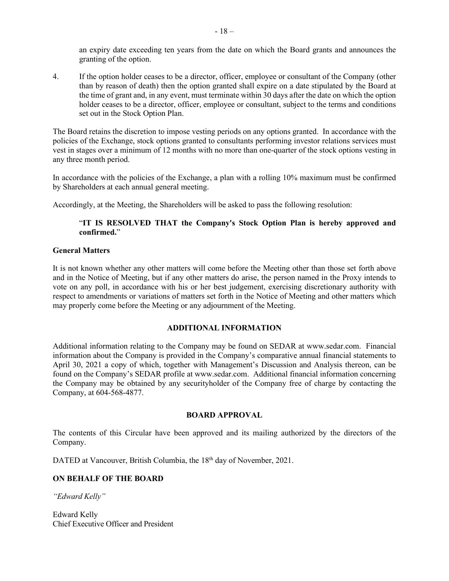an expiry date exceeding ten years from the date on which the Board grants and announces the granting of the option.

4. If the option holder ceases to be a director, officer, employee or consultant of the Company (other than by reason of death) then the option granted shall expire on a date stipulated by the Board at the time of grant and, in any event, must terminate within  $\overline{30}$  days after the date on which the option holder ceases to be a director, officer, employee or consultant, subject to the terms and conditions set out in the Stock Option Plan.

The Board retains the discretion to impose vesting periods on any options granted. In accordance with the policies of the Exchange, stock options granted to consultants performing investor relations services must vest in stages over a minimum of 12 months with no more than one-quarter of the stock options vesting in any three month period.

In accordance with the policies of the Exchange, a plan with a rolling 10% maximum must be confirmed by Shareholders at each annual general meeting.

Accordingly, at the Meeting, the Shareholders will be asked to pass the following resolution:

# "**IT IS RESOLVED THAT the Company's Stock Option Plan is hereby approved and confirmed.**"

## **General Matters**

It is not known whether any other matters will come before the Meeting other than those set forth above and in the Notice of Meeting, but if any other matters do arise, the person named in the Proxy intends to vote on any poll, in accordance with his or her best judgement, exercising discretionary authority with respect to amendments or variations of matters set forth in the Notice of Meeting and other matters which may properly come before the Meeting or any adjournment of the Meeting.

## **ADDITIONAL INFORMATION**

Additional information relating to the Company may be found on SEDAR at www.sedar.com. Financial information about the Company is provided in the Company's comparative annual financial statements to April 30, 2021 a copy of which, together with Management's Discussion and Analysis thereon, can be found on the Company's SEDAR profile at www.sedar.com. Additional financial information concerning the Company may be obtained by any securityholder of the Company free of charge by contacting the Company, at 604-568-4877.

## **BOARD APPROVAL**

The contents of this Circular have been approved and its mailing authorized by the directors of the Company.

DATED at Vancouver, British Columbia, the 18<sup>th</sup> day of November, 2021.

# **ON BEHALF OF THE BOARD**

*"Edward Kelly"*

Edward Kelly Chief Executive Officer and President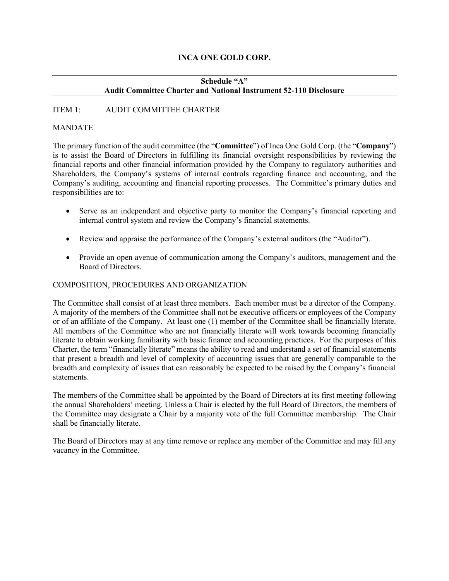# **INCA ONE GOLD CORP.**

# **Schedule "A" Audit Committee Charter and National Instrument 52-110 Disclosure**

# ITEM 1: AUDIT COMMITTEE CHARTER

# MANDATE

The primary function of the audit committee (the "**Committee**") of Inca One Gold Corp. (the "**Company**") is to assist the Board of Directors in fulfilling its financial oversight responsibilities by reviewing the financial reports and other financial information provided by the Company to regulatory authorities and Shareholders, the Company's systems of internal controls regarding finance and accounting, and the Company's auditing, accounting and financial reporting processes. The Committee's primary duties and responsibilities are to:

- Serve as an independent and objective party to monitor the Company's financial reporting and internal control system and review the Company's financial statements.
- Review and appraise the performance of the Company's external auditors (the "Auditor").
- Provide an open avenue of communication among the Company's auditors, management and the Board of Directors.

# COMPOSITION, PROCEDURES AND ORGANIZATION

The Committee shall consist of at least three members. Each member must be a director of the Company. A majority of the members of the Committee shall not be executive officers or employees of the Company or of an affiliate of the Company. At least one (1) member of the Committee shall be financially literate. All members of the Committee who are not financially literate will work towards becoming financially literate to obtain working familiarity with basic finance and accounting practices. For the purposes of this Charter, the term "financially literate" means the ability to read and understand a set of financial statements that present a breadth and level of complexity of accounting issues that are generally comparable to the breadth and complexity of issues that can reasonably be expected to be raised by the Company's financial statements.

The members of the Committee shall be appointed by the Board of Directors at its first meeting following the annual Shareholders' meeting. Unless a Chair is elected by the full Board of Directors, the members of the Committee may designate a Chair by a majority vote of the full Committee membership. The Chair shall be financially literate.

The Board of Directors may at any time remove or replace any member of the Committee and may fill any vacancy in the Committee.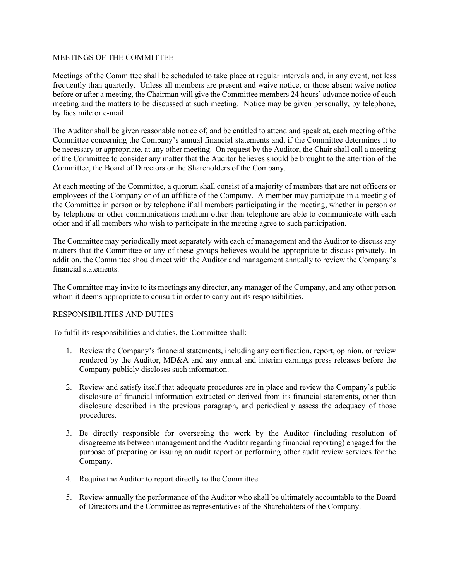## MEETINGS OF THE COMMITTEE

Meetings of the Committee shall be scheduled to take place at regular intervals and, in any event, not less frequently than quarterly. Unless all members are present and waive notice, or those absent waive notice before or after a meeting, the Chairman will give the Committee members 24 hours' advance notice of each meeting and the matters to be discussed at such meeting. Notice may be given personally, by telephone, by facsimile or e-mail.

The Auditor shall be given reasonable notice of, and be entitled to attend and speak at, each meeting of the Committee concerning the Company's annual financial statements and, if the Committee determines it to be necessary or appropriate, at any other meeting. On request by the Auditor, the Chair shall call a meeting of the Committee to consider any matter that the Auditor believes should be brought to the attention of the Committee, the Board of Directors or the Shareholders of the Company.

At each meeting of the Committee, a quorum shall consist of a majority of members that are not officers or employees of the Company or of an affiliate of the Company. A member may participate in a meeting of the Committee in person or by telephone if all members participating in the meeting, whether in person or by telephone or other communications medium other than telephone are able to communicate with each other and if all members who wish to participate in the meeting agree to such participation.

The Committee may periodically meet separately with each of management and the Auditor to discuss any matters that the Committee or any of these groups believes would be appropriate to discuss privately. In addition, the Committee should meet with the Auditor and management annually to review the Company's financial statements.

The Committee may invite to its meetings any director, any manager of the Company, and any other person whom it deems appropriate to consult in order to carry out its responsibilities.

# RESPONSIBILITIES AND DUTIES

To fulfil its responsibilities and duties, the Committee shall:

- 1. Review the Company's financial statements, including any certification, report, opinion, or review rendered by the Auditor, MD&A and any annual and interim earnings press releases before the Company publicly discloses such information.
- 2. Review and satisfy itself that adequate procedures are in place and review the Company's public disclosure of financial information extracted or derived from its financial statements, other than disclosure described in the previous paragraph, and periodically assess the adequacy of those procedures.
- 3. Be directly responsible for overseeing the work by the Auditor (including resolution of disagreements between management and the Auditor regarding financial reporting) engaged for the purpose of preparing or issuing an audit report or performing other audit review services for the Company.
- 4. Require the Auditor to report directly to the Committee.
- 5. Review annually the performance of the Auditor who shall be ultimately accountable to the Board of Directors and the Committee as representatives of the Shareholders of the Company.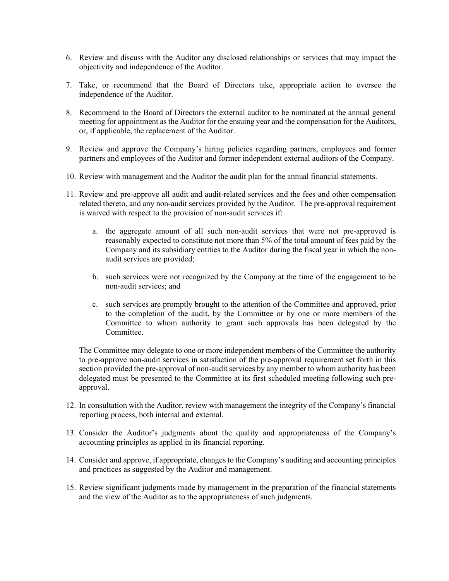- 6. Review and discuss with the Auditor any disclosed relationships or services that may impact the objectivity and independence of the Auditor.
- 7. Take, or recommend that the Board of Directors take, appropriate action to oversee the independence of the Auditor.
- 8. Recommend to the Board of Directors the external auditor to be nominated at the annual general meeting for appointment as the Auditor for the ensuing year and the compensation for the Auditors, or, if applicable, the replacement of the Auditor.
- 9. Review and approve the Company's hiring policies regarding partners, employees and former partners and employees of the Auditor and former independent external auditors of the Company.
- 10. Review with management and the Auditor the audit plan for the annual financial statements.
- 11. Review and pre-approve all audit and audit-related services and the fees and other compensation related thereto, and any non-audit services provided by the Auditor. The pre-approval requirement is waived with respect to the provision of non-audit services if:
	- a. the aggregate amount of all such non-audit services that were not pre-approved is reasonably expected to constitute not more than 5% of the total amount of fees paid by the Company and its subsidiary entities to the Auditor during the fiscal year in which the nonaudit services are provided;
	- b. such services were not recognized by the Company at the time of the engagement to be non-audit services; and
	- c. such services are promptly brought to the attention of the Committee and approved, prior to the completion of the audit, by the Committee or by one or more members of the Committee to whom authority to grant such approvals has been delegated by the Committee.

The Committee may delegate to one or more independent members of the Committee the authority to pre-approve non-audit services in satisfaction of the pre-approval requirement set forth in this section provided the pre-approval of non-audit services by any member to whom authority has been delegated must be presented to the Committee at its first scheduled meeting following such preapproval.

- 12. In consultation with the Auditor, review with management the integrity of the Company's financial reporting process, both internal and external.
- 13. Consider the Auditor's judgments about the quality and appropriateness of the Company's accounting principles as applied in its financial reporting.
- 14. Consider and approve, if appropriate, changes to the Company's auditing and accounting principles and practices as suggested by the Auditor and management.
- 15. Review significant judgments made by management in the preparation of the financial statements and the view of the Auditor as to the appropriateness of such judgments.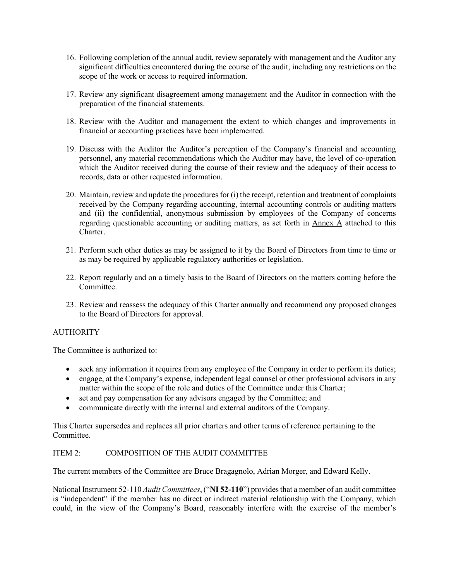- 16. Following completion of the annual audit, review separately with management and the Auditor any significant difficulties encountered during the course of the audit, including any restrictions on the scope of the work or access to required information.
- 17. Review any significant disagreement among management and the Auditor in connection with the preparation of the financial statements.
- 18. Review with the Auditor and management the extent to which changes and improvements in financial or accounting practices have been implemented.
- 19. Discuss with the Auditor the Auditor's perception of the Company's financial and accounting personnel, any material recommendations which the Auditor may have, the level of co-operation which the Auditor received during the course of their review and the adequacy of their access to records, data or other requested information.
- 20. Maintain, review and update the procedures for (i) the receipt, retention and treatment of complaints received by the Company regarding accounting, internal accounting controls or auditing matters and (ii) the confidential, anonymous submission by employees of the Company of concerns regarding questionable accounting or auditing matters, as set forth in Annex A attached to this Charter.
- 21. Perform such other duties as may be assigned to it by the Board of Directors from time to time or as may be required by applicable regulatory authorities or legislation.
- 22. Report regularly and on a timely basis to the Board of Directors on the matters coming before the Committee.
- 23. Review and reassess the adequacy of this Charter annually and recommend any proposed changes to the Board of Directors for approval.

# AUTHORITY

The Committee is authorized to:

- seek any information it requires from any employee of the Company in order to perform its duties;
- engage, at the Company's expense, independent legal counsel or other professional advisors in any matter within the scope of the role and duties of the Committee under this Charter;
- set and pay compensation for any advisors engaged by the Committee; and
- communicate directly with the internal and external auditors of the Company.

This Charter supersedes and replaces all prior charters and other terms of reference pertaining to the Committee.

# ITEM 2: COMPOSITION OF THE AUDIT COMMITTEE

The current members of the Committee are Bruce Bragagnolo, Adrian Morger, and Edward Kelly.

National Instrument 52-110 *Audit Committees*, ("**NI 52-110**") provides that a member of an audit committee is "independent" if the member has no direct or indirect material relationship with the Company, which could, in the view of the Company's Board, reasonably interfere with the exercise of the member's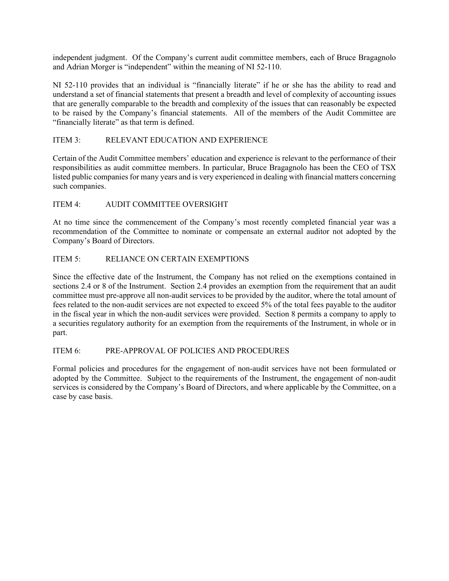independent judgment. Of the Company's current audit committee members, each of Bruce Bragagnolo and Adrian Morger is "independent" within the meaning of NI 52-110.

NI 52-110 provides that an individual is "financially literate" if he or she has the ability to read and understand a set of financial statements that present a breadth and level of complexity of accounting issues that are generally comparable to the breadth and complexity of the issues that can reasonably be expected to be raised by the Company's financial statements. All of the members of the Audit Committee are "financially literate" as that term is defined.

# ITEM 3: RELEVANT EDUCATION AND EXPERIENCE

Certain of the Audit Committee members' education and experience is relevant to the performance of their responsibilities as audit committee members. In particular, Bruce Bragagnolo has been the CEO of TSX listed public companies for many years and is very experienced in dealing with financial matters concerning such companies.

# ITEM 4: AUDIT COMMITTEE OVERSIGHT

At no time since the commencement of the Company's most recently completed financial year was a recommendation of the Committee to nominate or compensate an external auditor not adopted by the Company's Board of Directors.

# ITEM 5: RELIANCE ON CERTAIN EXEMPTIONS

Since the effective date of the Instrument, the Company has not relied on the exemptions contained in sections 2.4 or 8 of the Instrument. Section 2.4 provides an exemption from the requirement that an audit committee must pre-approve all non-audit services to be provided by the auditor, where the total amount of fees related to the non-audit services are not expected to exceed 5% of the total fees payable to the auditor in the fiscal year in which the non-audit services were provided. Section 8 permits a company to apply to a securities regulatory authority for an exemption from the requirements of the Instrument, in whole or in part.

## ITEM 6: PRE-APPROVAL OF POLICIES AND PROCEDURES

Formal policies and procedures for the engagement of non-audit services have not been formulated or adopted by the Committee. Subject to the requirements of the Instrument, the engagement of non-audit services is considered by the Company's Board of Directors, and where applicable by the Committee, on a case by case basis.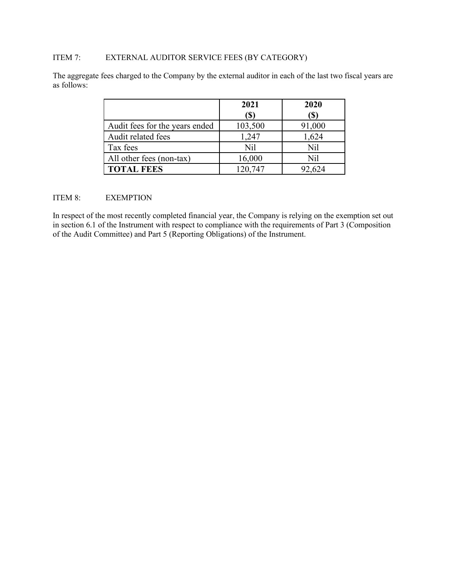# ITEM 7: EXTERNAL AUDITOR SERVICE FEES (BY CATEGORY)

The aggregate fees charged to the Company by the external auditor in each of the last two fiscal years are as follows:

|                                | 2021    | 2020   |
|--------------------------------|---------|--------|
|                                | (S)     | (\$)   |
| Audit fees for the years ended | 103,500 | 91,000 |
| Audit related fees             | 1,247   | 1,624  |
| Tax fees                       | Nil     | Nil    |
| All other fees (non-tax)       | 16,000  | Nil    |
| <b>TOTAL FEES</b>              | 120,747 | 92,624 |

# ITEM 8: EXEMPTION

In respect of the most recently completed financial year, the Company is relying on the exemption set out in section 6.1 of the Instrument with respect to compliance with the requirements of Part 3 (Composition of the Audit Committee) and Part 5 (Reporting Obligations) of the Instrument.